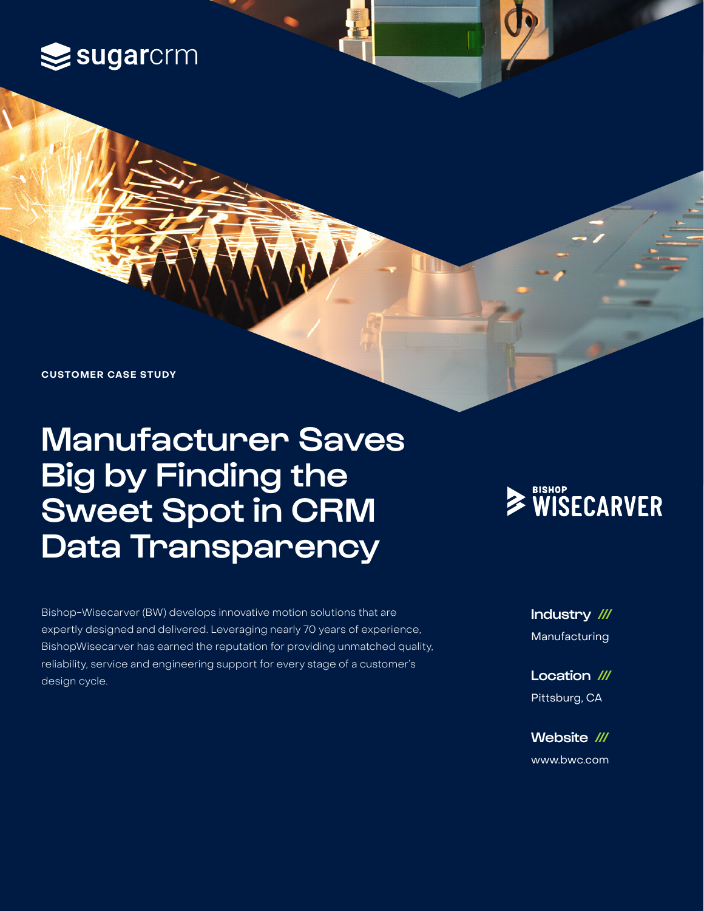### sugarcrm

**CUSTOMER CASE STUDY**

## Manufacturer Saves Big by Finding the Sweet Spot in CRM Data Transparency

Bishop-Wisecarver (BW) develops innovative motion solutions that are expertly designed and delivered. Leveraging nearly 70 years of experience, BishopWisecarver has earned the reputation for providing unmatched quality, reliability, service and engineering support for every stage of a customer's design cycle.

# WISECARVER

Industry /// Manufacturing

Location /// Pittsburg, CA

Website /// [www.](https://www.bwc.com/)bwc.com